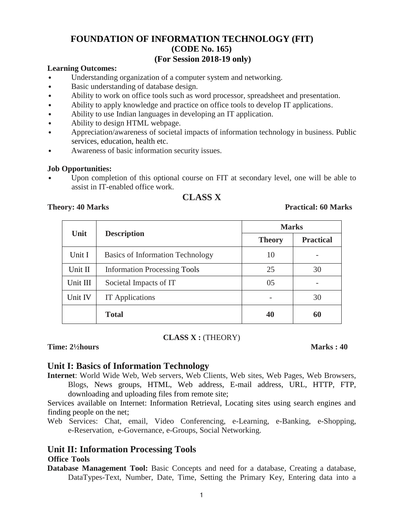#### **FOUNDATION OF INFORMATION TECHNOLOGY (FIT) (CODE No. 165) (For Session 2018-19 only)**

#### **Learning Outcomes:**

- Understanding organization of a computer system and networking.
- Basic understanding of database design.
- Ability to work on office tools such as word processor, spreadsheet and presentation.
- Ability to apply knowledge and practice on office tools to develop IT applications.
- Ability to use Indian languages in developing an IT application.
- Ability to design HTML webpage.
- Appreciation/awareness of societal impacts of information technology in business. Public services, education, health etc.
- Awareness of basic information security issues.

#### **Job Opportunities:**

• Upon completion of this optional course on FIT at secondary level, one will be able to assist in IT-enabled office work.

### **CLASS X**

#### **Theory: 40 Marks Practical: 60 Marks**

| Unit     | <b>Description</b>                  | <b>Marks</b>  |                  |
|----------|-------------------------------------|---------------|------------------|
|          |                                     | <b>Theory</b> | <b>Practical</b> |
| Unit I   | Basics of Information Technology    | 10            |                  |
| Unit II  | <b>Information Processing Tools</b> | 25            | 30               |
| Unit III | Societal Impacts of IT              | 05            |                  |
| Unit IV  | <b>IT</b> Applications              |               | 30               |
|          | <b>Total</b>                        | 40            | 60               |

**CLASS X :** (THEORY)

**Time: 2½hours Marks : 40** 

#### **Unit I: Basics of Information Technology**

**Internet**: World Wide Web, Web servers, Web Clients, Web sites, Web Pages, Web Browsers, Blogs, News groups, HTML, Web address, E-mail address, URL, HTTP, FTP, downloading and uploading files from remote site;

Services available on Internet: Information Retrieval, Locating sites using search engines and finding people on the net;

Web Services: Chat, email, Video Conferencing, e-Learning, e-Banking, e-Shopping, e-Reservation, e-Governance, e-Groups, Social Networking.

#### **Unit II: Information Processing Tools**

#### **Office Tools**

**Database Management Tool:** Basic Concepts and need for a database, Creating a database, DataTypes-Text, Number, Date, Time, Setting the Primary Key, Entering data into a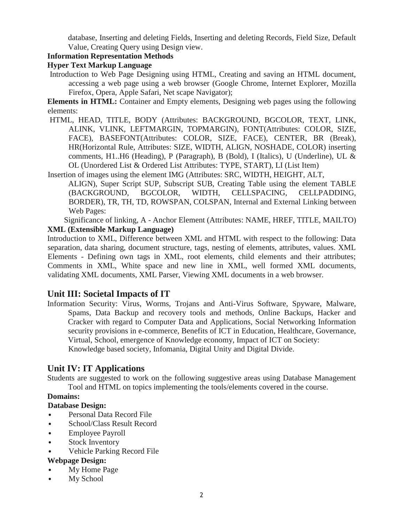database, Inserting and deleting Fields, Inserting and deleting Records, Field Size, Default Value, Creating Query using Design view.

#### **Information Representation Methods**

#### **Hyper Text Markup Language**

Introduction to Web Page Designing using HTML, Creating and saving an HTML document, accessing a web page using a web browser (Google Chrome, Internet Explorer, Mozilla Firefox, Opera, Apple Safari, Net scape Navigator);

**Elements in HTML:** Container and Empty elements, Designing web pages using the following elements:

HTML, HEAD, TITLE, BODY (Attributes: BACKGROUND, BGCOLOR, TEXT, LINK, ALINK, VLINK, LEFTMARGIN, TOPMARGIN), FONT(Attributes: COLOR, SIZE, FACE), BASEFONT(Attributes: COLOR, SIZE, FACE), CENTER, BR (Break), HR(Horizontal Rule, Attributes: SIZE, WIDTH, ALIGN, NOSHADE, COLOR) inserting comments, H1..H6 (Heading), P (Paragraph), B (Bold), I (Italics), U (Underline), UL & OL (Unordered List & Ordered List Attributes: TYPE, START), LI (List Item)

Insertion of images using the element IMG (Attributes: SRC, WIDTH, HEIGHT, ALT,

ALIGN), Super Script SUP, Subscript SUB, Creating Table using the element TABLE (BACKGROUND, BGCOLOR, WIDTH, CELLSPACING, CELLPADDING, BORDER), TR, TH, TD, ROWSPAN, COLSPAN, Internal and External Linking between Web Pages:

Significance of linking, A - Anchor Element (Attributes: NAME, HREF, TITLE, MAILTO) **XML (Extensible Markup Language)**

Introduction to XML, Difference between XML and HTML with respect to the following: Data separation, data sharing, document structure, tags, nesting of elements, attributes, values. XML Elements - Defining own tags in XML, root elements, child elements and their attributes; Comments in XML, White space and new line in XML, well formed XML documents, validating XML documents, XML Parser, Viewing XML documents in a web browser.

#### **Unit III: Societal Impacts of IT**

Information Security: Virus, Worms, Trojans and Anti-Virus Software, Spyware, Malware, Spams, Data Backup and recovery tools and methods, Online Backups, Hacker and Cracker with regard to Computer Data and Applications, Social Networking Information security provisions in e-commerce, Benefits of ICT in Education, Healthcare, Governance, Virtual, School, emergence of Knowledge economy, Impact of ICT on Society: Knowledge based society, Infomania, Digital Unity and Digital Divide.

#### **Unit IV: IT Applications**

Students are suggested to work on the following suggestive areas using Database Management Tool and HTML on topics implementing the tools/elements covered in the course.

#### **Domains:**

#### **Database Design:**

- Personal Data Record File
- School/Class Result Record
- Employee Payroll
- Stock Inventory
- Vehicle Parking Record File

#### **Webpage Design:**

- My Home Page
- My School